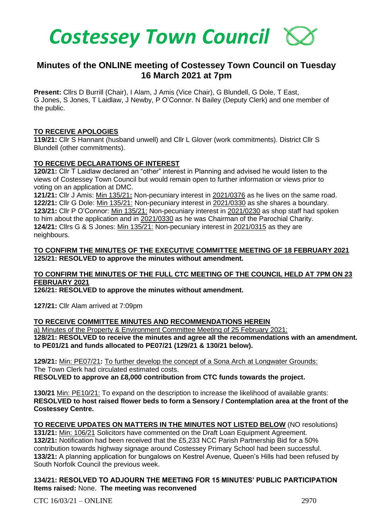

# **Minutes of the ONLINE meeting of Costessey Town Council on Tuesday 16 March 2021 at 7pm**

**Present:** Cllrs D Burrill (Chair), I Alam, J Amis (Vice Chair), G Blundell, G Dole, T East, G Jones, S Jones, T Laidlaw, J Newby, P O'Connor. N Bailey (Deputy Clerk) and one member of the public.

### **TO RECEIVE APOLOGIES**

**119/21:** Cllr S Hannant (husband unwell) and Cllr L Glover (work commitments). District Cllr S Blundell (other commitments).

### **TO RECEIVE DECLARATIONS OF INTEREST**

**120/21:** Cllr T Laidlaw declared an "other" interest in Planning and advised he would listen to the views of Costessey Town Council but would remain open to further information or views prior to voting on an application at DMC.

**121/21:** Cllr J Amis: Min 135/21**:** Non-pecuniary interest in 2021/0376 as he lives on the same road. **122/21:** Cllr G Dole: Min 135/21: Non-pecuniary interest in 2021/0330 as she shares a boundary. **123/21:** Cllr P O'Connor: Min 135/21: Non-pecuniary interest in 2021/0230 as shop staff had spoken to him about the application and in 2021/0330 as he was Chairman of the Parochial Charity. **124/21:** Cllrs G & S Jones: Min 135/21: Non-pecuniary interest in 2021/0315 as they are neighbours.

### **TO CONFIRM THE MINUTES OF THE EXECUTIVE COMMITTEE MEETING OF 18 FEBRUARY 2021 125/21: RESOLVED to approve the minutes without amendment.**

# **TO CONFIRM THE MINUTES OF THE FULL CTC MEETING OF THE COUNCIL HELD AT 7PM ON 23 FEBRUARY 2021**

**126/21: RESOLVED to approve the minutes without amendment.**

**127/21:** Cllr Alam arrived at 7:09pm

# **TO RECEIVE COMMITTEE MINUTES AND RECOMMENDATIONS HEREIN**

a) Minutes of the Property & Environment Committee Meeting of 25 February 2021:

**128/21: RESOLVED to receive the minutes and agree all the recommendations with an amendment. to PE01/21 and funds allocated to PE07/21 (129/21 & 130/21 below).**

**129/21:** Min: PE07/21**:** To further develop the concept of a Sona Arch at Longwater Grounds: The Town Clerk had circulated estimated costs. **RESOLVED to approve an £8,000 contribution from CTC funds towards the project.**

**130/21** Min: PE10/21: To expand on the description to increase the likelihood of available grants: **RESOLVED to host raised flower beds to form a Sensory / Contemplation area at the front of the Costessey Centre.**

**TO RECEIVE UPDATES ON MATTERS IN THE MINUTES NOT LISTED BELOW** (NO resolutions)

**131/21:** Min: 106/21 Solicitors have commented on the Draft Loan Equipment Agreement. **132/21:** Notification had been received that the £5,233 NCC Parish Partnership Bid for a 50% contribution towards highway signage around Costessey Primary School had been successful. **133/21:** A planning application for bungalows on Kestrel Avenue, Queen's Hills had been refused by South Norfolk Council the previous week.

# **134/21: RESOLVED TO ADJOURN THE MEETING FOR 15 MINUTES' PUBLIC PARTICIPATION Items raised:** None. **The meeting was reconvened**

 $CTC$  16/03/21 – ONLINE 2970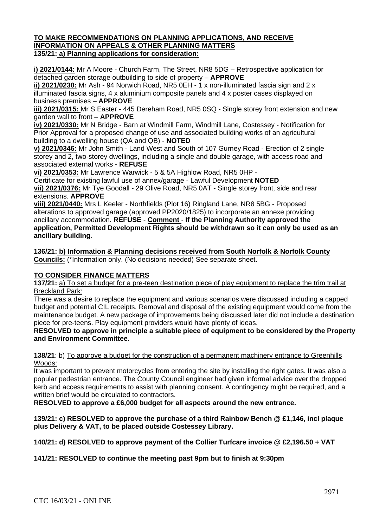#### **TO MAKE RECOMMENDATIONS ON PLANNING APPLICATIONS, AND RECEIVE INFORMATION ON APPEALS & OTHER PLANNING MATTERS 135/21: a) Planning applications for consideration:**

**i) 2021/0144:** Mr A Moore - Church Farm, The Street, NR8 5DG – Retrospective application for detached garden storage outbuilding to side of property – **APPROVE** 

**ii) 2021/0230:** Mr Ash - 94 Norwich Road, NR5 0EH - 1 x non-illuminated fascia sign and 2 x illuminated fascia signs, 4 x aluminium composite panels and 4 x poster cases displayed on business premises – **APPROVE** 

**iii) 2021/0315:** Mr S Easter - 445 Dereham Road, NR5 0SQ - Single storey front extension and new garden wall to front – **APPROVE** 

**iv) 2021/0330:** Mr N Bridge - Barn at Windmill Farm, Windmill Lane, Costessey - Notification for Prior Approval for a proposed change of use and associated building works of an agricultural building to a dwelling house (QA and QB) - **NOTED** 

**v) 2021/0346:** Mr John Smith - Land West and South of 107 Gurney Road - Erection of 2 single storey and 2, two-storey dwellings, including a single and double garage, with access road and associated external works - **REFUSE**

**vi) 2021/0353:** Mr Lawrence Warwick - 5 & 5A Highlow Road, NR5 0HP -

Certificate for existing lawful use of annex/garage - Lawful Development **NOTED**

**vii) 2021/0376:** Mr Tye Goodall - 29 Olive Road, NR5 0AT - Single storey front, side and rear extensions. **APPROVE**

**viii) 2021/0440:** Mrs L Keeler - Northfields (Plot 16) Ringland Lane, NR8 5BG - Proposed alterations to approved garage (approved PP2020/1825) to incorporate an annexe providing ancillary accommodation. **REFUSE** - **Comment** - **If the Planning Authority approved the application, Permitted Development Rights should be withdrawn so it can only be used as an ancillary building**.

**136/21: b) Information & Planning decisions received from South Norfolk & Norfolk County Councils:** (\*Information only. (No decisions needed) See separate sheet.

# **TO CONSIDER FINANCE MATTERS**

**137/21:** a) To set a budget for a pre-teen destination piece of play equipment to replace the trim trail at Breckland Park:

**There was a desire to replace the equipment and various scenarios were discussed including a capped** budget and potential CIL receipts. Removal and disposal of the existing equipment would come from the maintenance budget. A new package of improvements being discussed later did not include a destination piece for pre-teens. Play equipment providers would have plenty of ideas.

**RESOLVED to approve in principle a suitable piece of equipment to be considered by the Property and Environment Committee.** 

**138/21**: b) To approve a budget for the construction of a permanent machinery entrance to Greenhills Woods:

It was important to prevent motorcycles from entering the site by installing the right gates. It was also a popular pedestrian entrance. The County Council engineer had given informal advice over the dropped kerb and access requirements to assist with planning consent. A contingency might be required, and a written brief would be circulated to contractors.

**RESOLVED to approve a £6,000 budget for all aspects around the new entrance.** 

**139/21: c) RESOLVED to approve the purchase of a third Rainbow Bench @ £1,146, incl plaque plus Delivery & VAT, to be placed outside Costessey Library.**

**140/21: d) RESOLVED to approve payment of the Collier Turfcare invoice @ £2,196.50 + VAT** 

**141/21: RESOLVED to continue the meeting past 9pm but to finish at 9:30pm**